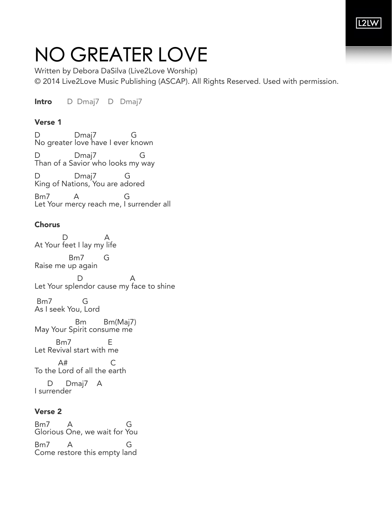## NO GREATER LOVE

Written by Debora DaSilva (Live2Love Worship) © 2014 Live2Love Music Publishing (ASCAP). All Rights Reserved. Used with permission.

Intro D Dmaj7 D Dmaj7

## Verse 1

D Dmaj7 G No greater love have I ever known D Dmaj7 G Than of a Savior who looks my way D Dmaj7 G King of Nations, You are adored

Bm7 A G Let Your mercy reach me, I surrender all

## **Chorus**

 D A At Your feet I lay my life Bm7 G Raise me up again D A Let Your splendor cause my face to shine Bm7 G As I seek You, Lord Bm Bm(Maj7) May Your Spirit consume me Bm7 E Let Revival start with me A# C To the Lord of all the earth D Dmaj7 A I surrender

## Verse 2

Bm7 A G Glorious One, we wait for You Bm7 A G Come restore this empty land